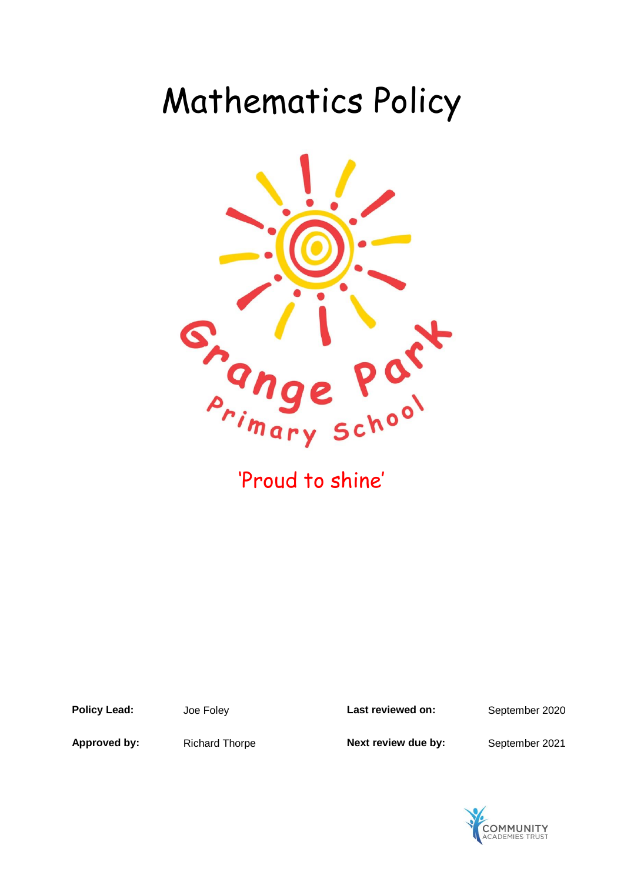# Mathematics Policy



**Policy Lead:** Joe Foley **Last reviewed on:** September 2020

Approved by: Richard Thorpe **Next review due by:** September 2021

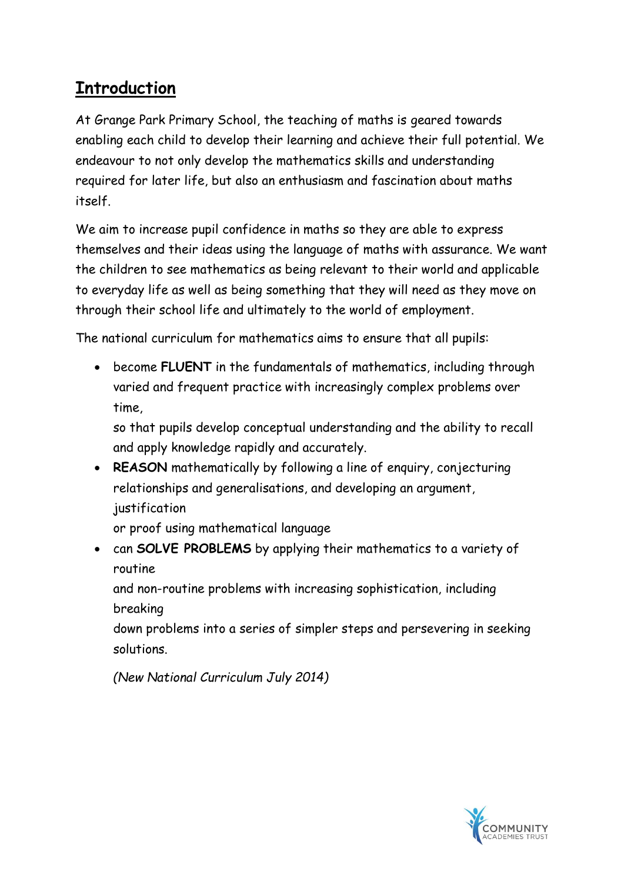# **Introduction**

At Grange Park Primary School, the teaching of maths is geared towards enabling each child to develop their learning and achieve their full potential. We endeavour to not only develop the mathematics skills and understanding required for later life, but also an enthusiasm and fascination about maths itself.

We aim to increase pupil confidence in maths so they are able to express themselves and their ideas using the language of maths with assurance. We want the children to see mathematics as being relevant to their world and applicable to everyday life as well as being something that they will need as they move on through their school life and ultimately to the world of employment.

The national curriculum for mathematics aims to ensure that all pupils:

 become **FLUENT** in the fundamentals of mathematics, including through varied and frequent practice with increasingly complex problems over time,

so that pupils develop conceptual understanding and the ability to recall and apply knowledge rapidly and accurately.

 **REASON** mathematically by following a line of enquiry, conjecturing relationships and generalisations, and developing an argument, justification

or proof using mathematical language

 can **SOLVE PROBLEMS** by applying their mathematics to a variety of routine

and non-routine problems with increasing sophistication, including breaking

down problems into a series of simpler steps and persevering in seeking solutions.

*(New National Curriculum July 2014)*

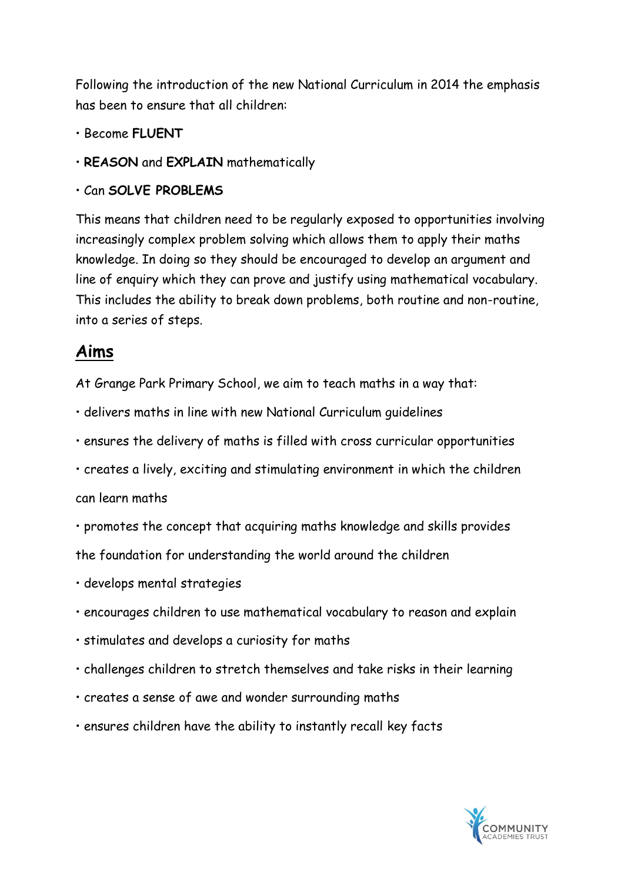Following the introduction of the new National Curriculum in 2014 the emphasis has been to ensure that all children:

- Become **FLUENT**
- **REASON** and **EXPLAIN** mathematically
- Can **SOLVE PROBLEMS**

This means that children need to be regularly exposed to opportunities involving increasingly complex problem solving which allows them to apply their maths knowledge. In doing so they should be encouraged to develop an argument and line of enquiry which they can prove and justify using mathematical vocabulary. This includes the ability to break down problems, both routine and non-routine, into a series of steps.

#### **Aims**

At Grange Park Primary School, we aim to teach maths in a way that:

- delivers maths in line with new National Curriculum guidelines
- ensures the delivery of maths is filled with cross curricular opportunities
- creates a lively, exciting and stimulating environment in which the children

can learn maths

- promotes the concept that acquiring maths knowledge and skills provides the foundation for understanding the world around the children
- develops mental strategies
- encourages children to use mathematical vocabulary to reason and explain
- stimulates and develops a curiosity for maths
- challenges children to stretch themselves and take risks in their learning
- creates a sense of awe and wonder surrounding maths
- ensures children have the ability to instantly recall key facts

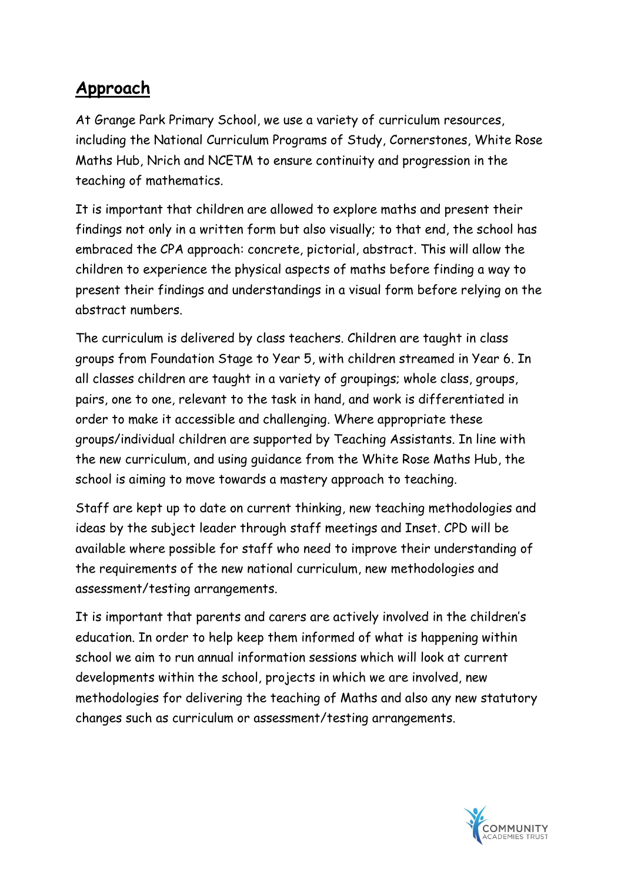### **Approach**

At Grange Park Primary School, we use a variety of curriculum resources, including the National Curriculum Programs of Study, Cornerstones, White Rose Maths Hub, Nrich and NCETM to ensure continuity and progression in the teaching of mathematics.

It is important that children are allowed to explore maths and present their findings not only in a written form but also visually; to that end, the school has embraced the CPA approach: concrete, pictorial, abstract. This will allow the children to experience the physical aspects of maths before finding a way to present their findings and understandings in a visual form before relying on the abstract numbers.

The curriculum is delivered by class teachers. Children are taught in class groups from Foundation Stage to Year 5, with children streamed in Year 6. In all classes children are taught in a variety of groupings; whole class, groups, pairs, one to one, relevant to the task in hand, and work is differentiated in order to make it accessible and challenging. Where appropriate these groups/individual children are supported by Teaching Assistants. In line with the new curriculum, and using guidance from the White Rose Maths Hub, the school is aiming to move towards a mastery approach to teaching.

Staff are kept up to date on current thinking, new teaching methodologies and ideas by the subject leader through staff meetings and Inset. CPD will be available where possible for staff who need to improve their understanding of the requirements of the new national curriculum, new methodologies and assessment/testing arrangements.

It is important that parents and carers are actively involved in the children's education. In order to help keep them informed of what is happening within school we aim to run annual information sessions which will look at current developments within the school, projects in which we are involved, new methodologies for delivering the teaching of Maths and also any new statutory changes such as curriculum or assessment/testing arrangements.